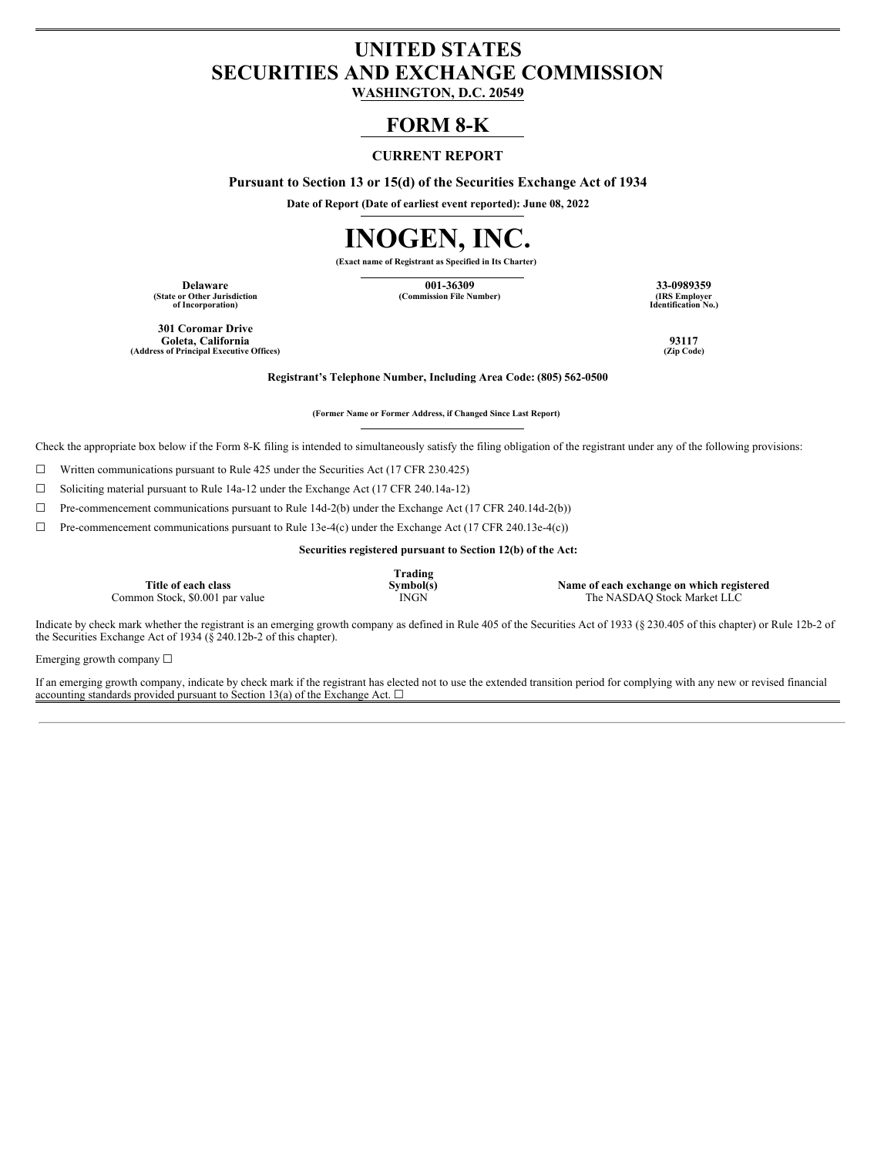## **UNITED STATES SECURITIES AND EXCHANGE COMMISSION**

**WASHINGTON, D.C. 20549**

### **FORM 8-K**

### **CURRENT REPORT**

**Pursuant to Section 13 or 15(d) of the Securities Exchange Act of 1934**

**Date of Report (Date of earliest event reported): June 08, 2022**

# **INOGEN, INC.**

**(Exact name of Registrant as Specified in Its Charter)**

**(State or Other Jurisdiction of Incorporation)**

**Delaware 001-36309 33-0989359**  $(Commission File Number)$ 

**Identification No.)**

**301 Coromar Drive Goleta, California 93117**  $(A$ ddress of **Principal Executive** Offices)

**Registrant's Telephone Number, Including Area Code: (805) 562-0500**

**(Former Name or Former Address, if Changed Since Last Report)**

Check the appropriate box below if the Form 8-K filing is intended to simultaneously satisfy the filing obligation of the registrant under any of the following provisions:

 $\Box$  Written communications pursuant to Rule 425 under the Securities Act (17 CFR 230.425)

☐ Soliciting material pursuant to Rule 14a-12 under the Exchange Act (17 CFR 240.14a-12)

☐ Pre-commencement communications pursuant to Rule 14d-2(b) under the Exchange Act (17 CFR 240.14d-2(b))

☐ Pre-commencement communications pursuant to Rule 13e-4(c) under the Exchange Act (17 CFR 240.13e-4(c))

**Securities registered pursuant to Section 12(b) of the Act:**

**Title of each class**

**Trading**

**Symbol(s)**<br> **Symbol(s)**<br> **Symbol(s)**<br> **Symbol(s)**<br> **INASDAQ** Stock Market LLC The NASDAQ Stock Market LLC

Indicate by check mark whether the registrant is an emerging growth company as defined in Rule 405 of the Securities Act of 1933 (§ 230.405 of this chapter) or Rule 12b-2 of the Securities Exchange Act of 1934 ( $\S$  240.12b-2 of this chapter).

Emerging growth company ☐

If an emerging growth company, indicate by check mark if the registrant has elected not to use the extended transition period for complying with any new or revised financial accounting standards provided pursuant to Section 13(a) of the Exchange Act.  $\square$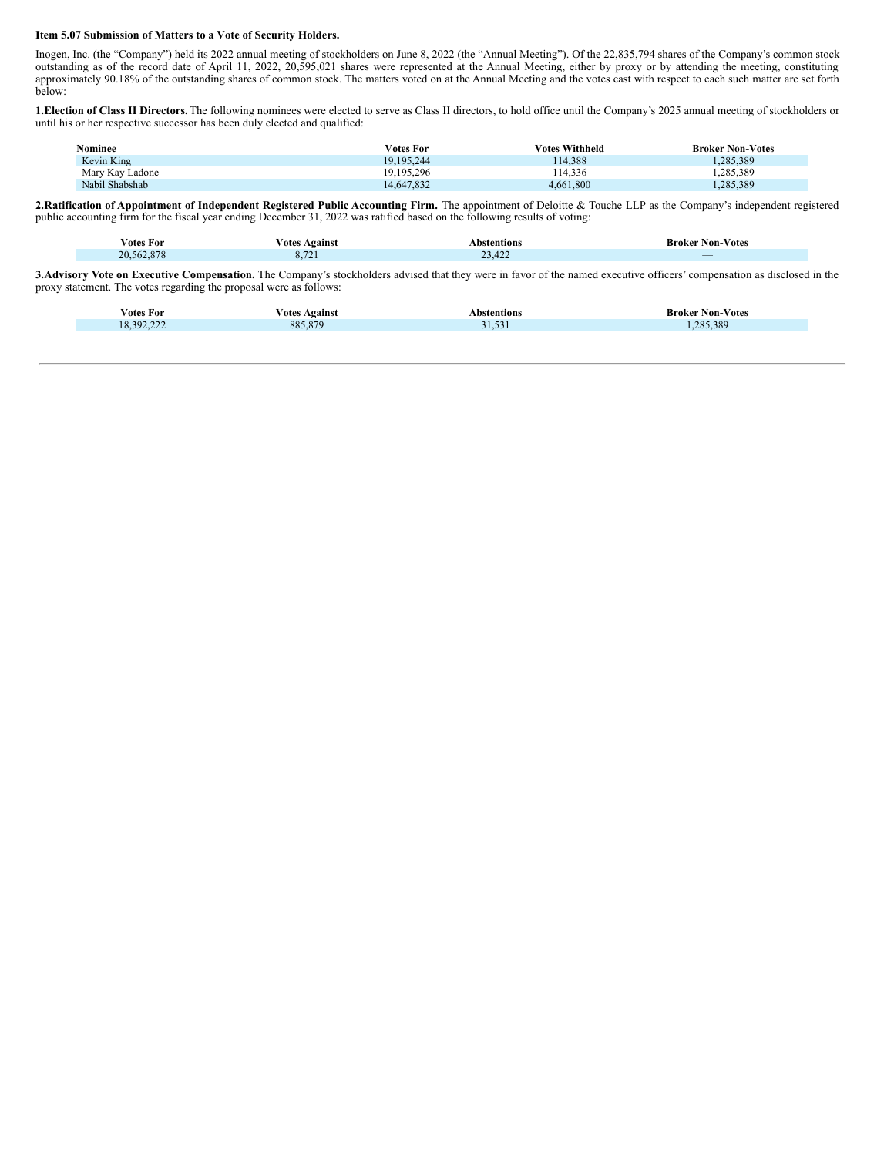#### **Item 5.07 Submission of Matters to a Vote of Security Holders.**

Inogen, Inc. (the "Company") held its 2022 annual meeting of stockholders on June 8, 2022 (the "Annual Meeting"). Of the 22,835,794 shares of the Company's common stock outstanding as of the record date of April 11, 2022, 20,595,021 shares were represented at the Annual Meeting, either by proxy or by attending the meeting, constituting approximately 90.18% of the outstanding shares of common stock. The matters voted on at the Annual Meeting and the votes cast with respect to each such matter are set forth below:

**1.Election of Class II Directors.**The following nominees were elected to serve as Class II directors, to hold office until the Company's 2025 annual meeting of stockholders or until his or her respective successor has been duly elected and qualified:

| Nominee         | <b>Votes For</b> | <b>Votes Withheld</b> | <b>Broker Non-Votes</b> |
|-----------------|------------------|-----------------------|-------------------------|
| Kevin King      | 19.195.244       | 114.388               | .285.389                |
| Mary Kay Ladone | 19.195.296       | 14.336                | .285.389                |
| Nabil Shabshab  | 14,647,832       | 4.661.800             | .,285,389               |

**2.Ratification of Appointment of Independent Registered Public Accounting Firm.** The appointment of Deloitte & Touche LLP as the Company's independent registered public accounting firm for the fiscal year ending December 31, 2022 was ratified based on the following results of voting:

|                                 |         | bstentions\                                                                                                                                                            |                               |
|---------------------------------|---------|------------------------------------------------------------------------------------------------------------------------------------------------------------------------|-------------------------------|
|                                 | Against |                                                                                                                                                                        |                               |
| Votes For                       | otes/   |                                                                                                                                                                        | <b>Broker Non-Votes</b>       |
| <b>CONTRACTOR</b><br>20,562,878 | 0, 121  | 42 <sup>o</sup><br>$\sim$<br>23,744<br>$\mathcal{L}^{\text{max}}_{\text{max}}$ and $\mathcal{L}^{\text{max}}_{\text{max}}$ and $\mathcal{L}^{\text{max}}_{\text{max}}$ | $\overline{\phantom{a}}$<br>_ |

**3.Advisory Vote on Executive Compensation.** The Company's stockholders advised that they were in favor of the named executive officers' compensation as disclosed in the proxy statement. The votes regarding the proposal were as follows:

| otes/<br>-For                 | otes<br>Against<br>- - - - | Abstentions   | Non-<br>-Votes<br>Broker<br>. |
|-------------------------------|----------------------------|---------------|-------------------------------|
| 292.22<br>$\Omega$<br>,,,,,,, | 885,879                    | $-1$<br>----- | 285,389<br>$-$                |